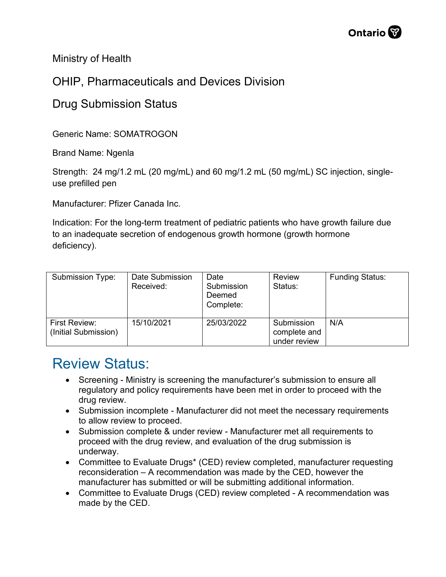Ministry of Health

## OHIP, Pharmaceuticals and Devices Division

## Drug Submission Status

Generic Name: SOMATROGON

Brand Name: Ngenla

Strength: 24 mg/1.2 mL (20 mg/mL) and 60 mg/1.2 mL (50 mg/mL) SC injection, singleuse prefilled pen

Manufacturer: Pfizer Canada Inc.

Indication: For the long-term treatment of pediatric patients who have growth failure due to an inadequate secretion of endogenous growth hormone (growth hormone deficiency).

| <b>Submission Type:</b>               | Date Submission<br>Received: | Date<br>Submission<br>Deemed<br>Complete: | <b>Review</b><br>Status:                   | <b>Funding Status:</b> |
|---------------------------------------|------------------------------|-------------------------------------------|--------------------------------------------|------------------------|
| First Review:<br>(Initial Submission) | 15/10/2021                   | 25/03/2022                                | Submission<br>complete and<br>under review | N/A                    |

## Review Status:

- Screening Ministry is screening the manufacturer's submission to ensure all regulatory and policy requirements have been met in order to proceed with the drug review.
- Submission incomplete Manufacturer did not meet the necessary requirements to allow review to proceed.
- Submission complete & under review Manufacturer met all requirements to proceed with the drug review, and evaluation of the drug submission is underway.
- Committee to Evaluate Drugs\* (CED) review completed, manufacturer requesting reconsideration – A recommendation was made by the CED, however the manufacturer has submitted or will be submitting additional information.
- Committee to Evaluate Drugs (CED) review completed A recommendation was made by the CED.